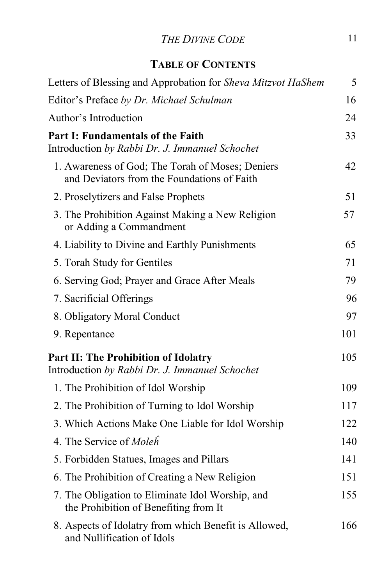## *THE DIVINE CODE* 11

## **TABLE OF CONTENTS**

| Letters of Blessing and Approbation for Sheva Mitzvot HaShem                                    | 5   |
|-------------------------------------------------------------------------------------------------|-----|
| Editor's Preface by Dr. Michael Schulman                                                        | 16  |
| Author's Introduction                                                                           | 24  |
| <b>Part I: Fundamentals of the Faith</b><br>Introduction by Rabbi Dr. J. Immanuel Schochet      | 33  |
| 1. Awareness of God; The Torah of Moses; Deniers<br>and Deviators from the Foundations of Faith | 42  |
| 2. Proselytizers and False Prophets                                                             | 51  |
| 3. The Prohibition Against Making a New Religion<br>or Adding a Commandment                     | 57  |
| 4. Liability to Divine and Earthly Punishments                                                  | 65  |
| 5. Torah Study for Gentiles                                                                     | 71  |
| 6. Serving God; Prayer and Grace After Meals                                                    | 79  |
| 7. Sacrificial Offerings                                                                        | 96  |
| 8. Obligatory Moral Conduct                                                                     | 97  |
| 9. Repentance                                                                                   | 101 |
| <b>Part II: The Prohibition of Idolatry</b><br>Introduction by Rabbi Dr. J. Immanuel Schochet   | 105 |
| 1. The Prohibition of Idol Worship                                                              | 109 |
| 2. The Prohibition of Turning to Idol Worship                                                   | 117 |
| 3. Which Actions Make One Liable for Idol Worship                                               | 122 |
| 4. The Service of Moleh                                                                         | 140 |
| 5. Forbidden Statues, Images and Pillars                                                        | 141 |
| 6. The Prohibition of Creating a New Religion                                                   | 151 |
| 7. The Obligation to Eliminate Idol Worship, and<br>the Prohibition of Benefiting from It       | 155 |
| 8. Aspects of Idolatry from which Benefit is Allowed,<br>and Nullification of Idols             | 166 |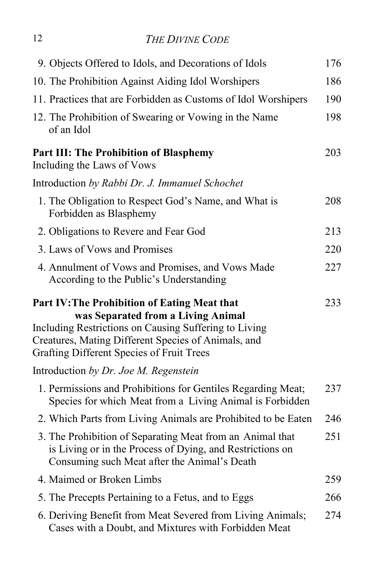## 12 *THE DIVINE CODE*

| 9. Objects Offered to Idols, and Decorations of Idols                                                                                                                                                                                                         | 176 |
|---------------------------------------------------------------------------------------------------------------------------------------------------------------------------------------------------------------------------------------------------------------|-----|
| 10. The Prohibition Against Aiding Idol Worshipers                                                                                                                                                                                                            | 186 |
| 11. Practices that are Forbidden as Customs of Idol Worshipers                                                                                                                                                                                                | 190 |
| 12. The Prohibition of Swearing or Vowing in the Name<br>of an Idol                                                                                                                                                                                           | 198 |
| <b>Part III: The Prohibition of Blasphemy</b><br>Including the Laws of Vows                                                                                                                                                                                   | 203 |
| Introduction by Rabbi Dr. J. Immanuel Schochet                                                                                                                                                                                                                |     |
| 1. The Obligation to Respect God's Name, and What is<br>Forbidden as Blasphemy                                                                                                                                                                                | 208 |
| 2. Obligations to Revere and Fear God                                                                                                                                                                                                                         | 213 |
| 3. Laws of Vows and Promises                                                                                                                                                                                                                                  | 220 |
| 4. Annulment of Vows and Promises, and Vows Made<br>According to the Public's Understanding                                                                                                                                                                   | 227 |
| <b>Part IV: The Prohibition of Eating Meat that</b><br>was Separated from a Living Animal<br>Including Restrictions on Causing Suffering to Living<br>Creatures, Mating Different Species of Animals, and<br><b>Grafting Different Species of Fruit Trees</b> | 233 |
| Introduction by Dr. Joe M. Regenstein                                                                                                                                                                                                                         |     |
| 1. Permissions and Prohibitions for Gentiles Regarding Meat;<br>Species for which Meat from a Living Animal is Forbidden                                                                                                                                      | 237 |
| 2. Which Parts from Living Animals are Prohibited to be Eaten                                                                                                                                                                                                 | 246 |
| 3. The Prohibition of Separating Meat from an Animal that<br>is Living or in the Process of Dying, and Restrictions on<br>Consuming such Meat after the Animal's Death                                                                                        | 251 |
| 4. Maimed or Broken Limbs                                                                                                                                                                                                                                     | 259 |
| 5. The Precepts Pertaining to a Fetus, and to Eggs                                                                                                                                                                                                            | 266 |
| 6. Deriving Benefit from Meat Severed from Living Animals;<br>Cases with a Doubt, and Mixtures with Forbidden Meat                                                                                                                                            | 274 |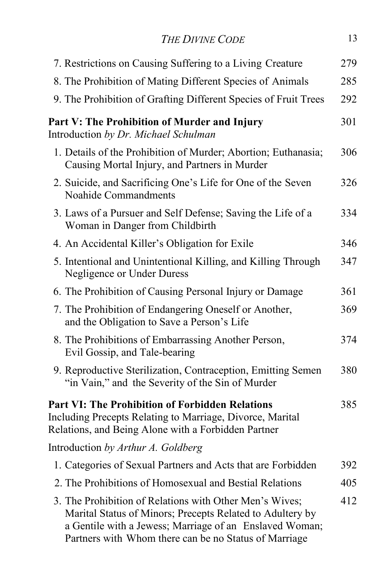| <b>THE DIVINE CODE</b>                                                                                                                                                                                                                   | 13  |
|------------------------------------------------------------------------------------------------------------------------------------------------------------------------------------------------------------------------------------------|-----|
| 7. Restrictions on Causing Suffering to a Living Creature                                                                                                                                                                                | 279 |
| 8. The Prohibition of Mating Different Species of Animals                                                                                                                                                                                | 285 |
| 9. The Prohibition of Grafting Different Species of Fruit Trees                                                                                                                                                                          | 292 |
| Part V: The Prohibition of Murder and Injury<br>Introduction by Dr. Michael Schulman                                                                                                                                                     | 301 |
| 1. Details of the Prohibition of Murder; Abortion; Euthanasia;<br>Causing Mortal Injury, and Partners in Murder                                                                                                                          | 306 |
| 2. Suicide, and Sacrificing One's Life for One of the Seven<br>Noahide Commandments                                                                                                                                                      | 326 |
| 3. Laws of a Pursuer and Self Defense; Saving the Life of a<br>Woman in Danger from Childbirth                                                                                                                                           | 334 |
| 4. An Accidental Killer's Obligation for Exile                                                                                                                                                                                           | 346 |
| 5. Intentional and Unintentional Killing, and Killing Through<br>Negligence or Under Duress                                                                                                                                              | 347 |
| 6. The Prohibition of Causing Personal Injury or Damage                                                                                                                                                                                  | 361 |
| 7. The Prohibition of Endangering Oneself or Another,<br>and the Obligation to Save a Person's Life                                                                                                                                      | 369 |
| 8. The Prohibitions of Embarrassing Another Person,<br>Evil Gossip, and Tale-bearing                                                                                                                                                     | 374 |
| 9. Reproductive Sterilization, Contraception, Emitting Semen<br>"in Vain," and the Severity of the Sin of Murder                                                                                                                         | 380 |
| <b>Part VI: The Prohibition of Forbidden Relations</b><br>Including Precepts Relating to Marriage, Divorce, Marital<br>Relations, and Being Alone with a Forbidden Partner                                                               | 385 |
| Introduction by Arthur A. Goldberg                                                                                                                                                                                                       |     |
| 1. Categories of Sexual Partners and Acts that are Forbidden                                                                                                                                                                             | 392 |
| 2. The Prohibitions of Homosexual and Bestial Relations                                                                                                                                                                                  | 405 |
| 3. The Prohibition of Relations with Other Men's Wives;<br>Marital Status of Minors; Precepts Related to Adultery by<br>a Gentile with a Jewess; Marriage of an Enslaved Woman;<br>Partners with Whom there can be no Status of Marriage | 412 |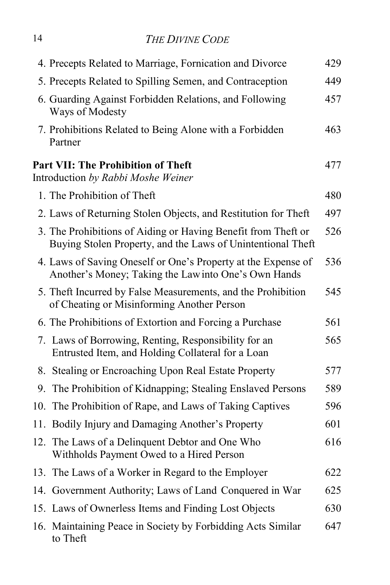## 14 *THE DIVINE CODE*

| 4. Precepts Related to Marriage, Fornication and Divorce                                                                     | 429 |
|------------------------------------------------------------------------------------------------------------------------------|-----|
| 5. Precepts Related to Spilling Semen, and Contraception                                                                     | 449 |
| 6. Guarding Against Forbidden Relations, and Following<br>Ways of Modesty                                                    | 457 |
| 7. Prohibitions Related to Being Alone with a Forbidden<br>Partner                                                           | 463 |
| <b>Part VII: The Prohibition of Theft</b><br>Introduction by Rabbi Moshe Weiner                                              | 477 |
| 1. The Prohibition of Theft                                                                                                  | 480 |
| 2. Laws of Returning Stolen Objects, and Restitution for Theft                                                               | 497 |
| 3. The Prohibitions of Aiding or Having Benefit from Theft or<br>Buying Stolen Property, and the Laws of Unintentional Theft | 526 |
| 4. Laws of Saving Oneself or One's Property at the Expense of<br>Another's Money; Taking the Law into One's Own Hands        | 536 |
| 5. Theft Incurred by False Measurements, and the Prohibition<br>of Cheating or Misinforming Another Person                   | 545 |
| 6. The Prohibitions of Extortion and Forcing a Purchase                                                                      | 561 |
| 7. Laws of Borrowing, Renting, Responsibility for an<br>Entrusted Item, and Holding Collateral for a Loan                    | 565 |
| 8. Stealing or Encroaching Upon Real Estate Property                                                                         | 577 |
| 9. The Prohibition of Kidnapping; Stealing Enslaved Persons                                                                  | 589 |
| 10. The Prohibition of Rape, and Laws of Taking Captives                                                                     | 596 |
| 11. Bodily Injury and Damaging Another's Property                                                                            | 601 |
| 12. The Laws of a Delinquent Debtor and One Who<br>Withholds Payment Owed to a Hired Person                                  | 616 |
| 13. The Laws of a Worker in Regard to the Employer                                                                           | 622 |
| 14. Government Authority; Laws of Land Conquered in War                                                                      | 625 |
| 15. Laws of Ownerless Items and Finding Lost Objects                                                                         | 630 |
| 16. Maintaining Peace in Society by Forbidding Acts Similar<br>to Theft                                                      | 647 |